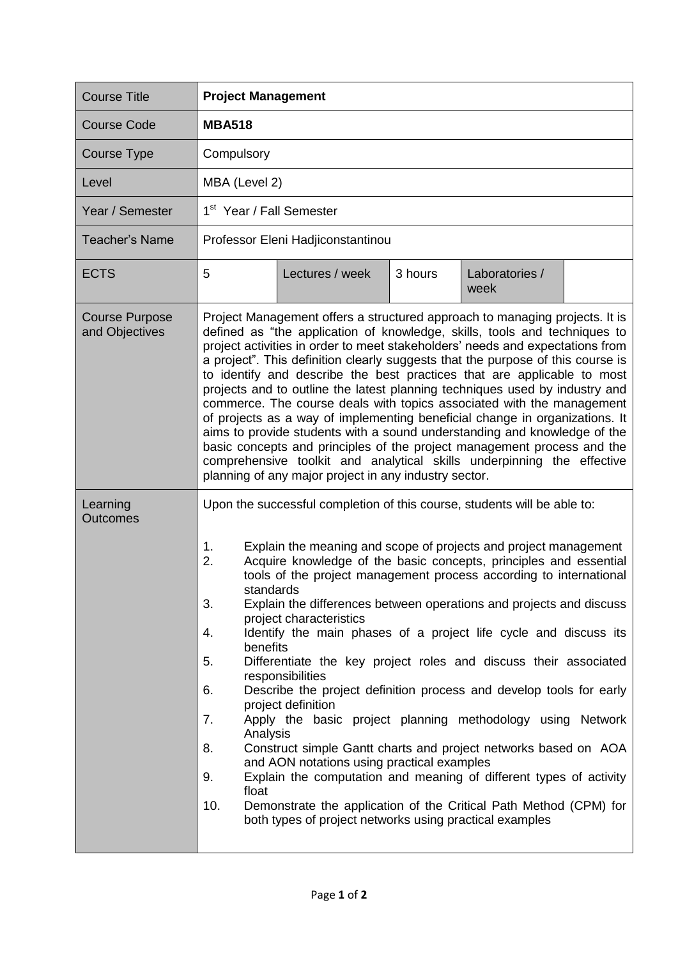| <b>Course Title</b>                     | <b>Project Management</b>                                                                                                                                                                                                                                                                                                                                                                                                                                                                                                                                                                                                                                                                                                                                                                                                                                                                                                                                                                                                                                                                                                                          |  |  |  |
|-----------------------------------------|----------------------------------------------------------------------------------------------------------------------------------------------------------------------------------------------------------------------------------------------------------------------------------------------------------------------------------------------------------------------------------------------------------------------------------------------------------------------------------------------------------------------------------------------------------------------------------------------------------------------------------------------------------------------------------------------------------------------------------------------------------------------------------------------------------------------------------------------------------------------------------------------------------------------------------------------------------------------------------------------------------------------------------------------------------------------------------------------------------------------------------------------------|--|--|--|
| <b>Course Code</b>                      | <b>MBA518</b>                                                                                                                                                                                                                                                                                                                                                                                                                                                                                                                                                                                                                                                                                                                                                                                                                                                                                                                                                                                                                                                                                                                                      |  |  |  |
| Course Type                             | Compulsory                                                                                                                                                                                                                                                                                                                                                                                                                                                                                                                                                                                                                                                                                                                                                                                                                                                                                                                                                                                                                                                                                                                                         |  |  |  |
| Level                                   | MBA (Level 2)                                                                                                                                                                                                                                                                                                                                                                                                                                                                                                                                                                                                                                                                                                                                                                                                                                                                                                                                                                                                                                                                                                                                      |  |  |  |
| Year / Semester                         | 1 <sup>st</sup> Year / Fall Semester                                                                                                                                                                                                                                                                                                                                                                                                                                                                                                                                                                                                                                                                                                                                                                                                                                                                                                                                                                                                                                                                                                               |  |  |  |
| Teacher's Name                          | Professor Eleni Hadjiconstantinou                                                                                                                                                                                                                                                                                                                                                                                                                                                                                                                                                                                                                                                                                                                                                                                                                                                                                                                                                                                                                                                                                                                  |  |  |  |
| <b>ECTS</b>                             | 5<br>Lectures / week<br>3 hours<br>Laboratories /<br>week                                                                                                                                                                                                                                                                                                                                                                                                                                                                                                                                                                                                                                                                                                                                                                                                                                                                                                                                                                                                                                                                                          |  |  |  |
| <b>Course Purpose</b><br>and Objectives | Project Management offers a structured approach to managing projects. It is<br>defined as "the application of knowledge, skills, tools and techniques to<br>project activities in order to meet stakeholders' needs and expectations from<br>a project". This definition clearly suggests that the purpose of this course is<br>to identify and describe the best practices that are applicable to most<br>projects and to outline the latest planning techniques used by industry and<br>commerce. The course deals with topics associated with the management<br>of projects as a way of implementing beneficial change in organizations. It<br>aims to provide students with a sound understanding and knowledge of the<br>basic concepts and principles of the project management process and the<br>comprehensive toolkit and analytical skills underpinning the effective<br>planning of any major project in any industry sector.                                                                                                                                                                                                           |  |  |  |
| Learning<br><b>Outcomes</b>             | Upon the successful completion of this course, students will be able to:<br>1.<br>Explain the meaning and scope of projects and project management<br>2.<br>Acquire knowledge of the basic concepts, principles and essential<br>tools of the project management process according to international<br>standards<br>3.<br>Explain the differences between operations and projects and discuss<br>project characteristics<br>Identify the main phases of a project life cycle and discuss its<br>4.<br>benefits<br>Differentiate the key project roles and discuss their associated<br>5.<br>responsibilities<br>Describe the project definition process and develop tools for early<br>6.<br>project definition<br>Apply the basic project planning methodology using Network<br>7.<br>Analysis<br>Construct simple Gantt charts and project networks based on AOA<br>8.<br>and AON notations using practical examples<br>Explain the computation and meaning of different types of activity<br>9.<br>float<br>10.<br>Demonstrate the application of the Critical Path Method (CPM) for<br>both types of project networks using practical examples |  |  |  |